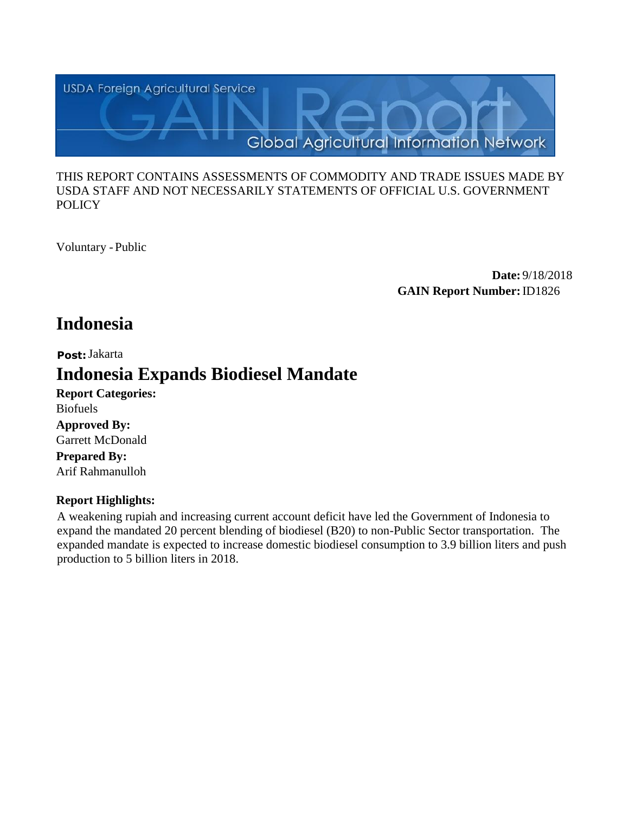

#### THIS REPORT CONTAINS ASSESSMENTS OF COMMODITY AND TRADE ISSUES MADE BY USDA STAFF AND NOT NECESSARILY STATEMENTS OF OFFICIAL U.S. GOVERNMENT **POLICY**

Voluntary -Public

**Date:** 9/18/2018 **GAIN Report Number:**ID1826

# **Indonesia**

#### **Post:** Jakarta

# **Indonesia Expands Biodiesel Mandate**

**Report Categories:** Biofuels **Approved By:**  Garrett McDonald **Prepared By:**  Arif Rahmanulloh

## **Report Highlights:**

A weakening rupiah and increasing current account deficit have led the Government of Indonesia to expand the mandated 20 percent blending of biodiesel (B20) to non-Public Sector transportation. The expanded mandate is expected to increase domestic biodiesel consumption to 3.9 billion liters and push production to 5 billion liters in 2018.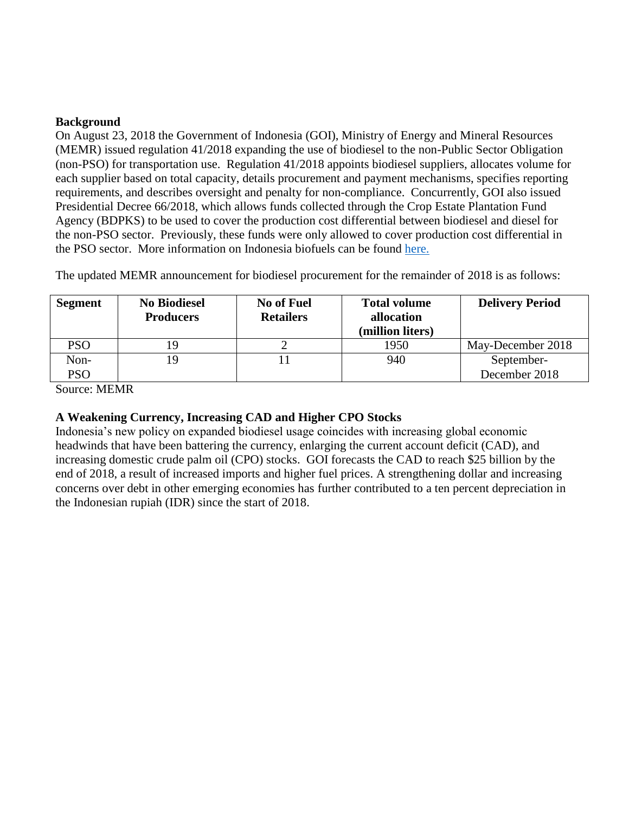#### **Background**

On August 23, 2018 the Government of Indonesia (GOI), Ministry of Energy and Mineral Resources (MEMR) issued regulation 41/2018 expanding the use of biodiesel to the non-Public Sector Obligation (non-PSO) for transportation use. Regulation 41/2018 appoints biodiesel suppliers, allocates volume for each supplier based on total capacity, details procurement and payment mechanisms, specifies reporting requirements, and describes oversight and penalty for non-compliance. Concurrently, GOI also issued Presidential Decree 66/2018, which allows funds collected through the Crop Estate Plantation Fund Agency (BDPKS) to be used to cover the production cost differential between biodiesel and diesel for the non-PSO sector. Previously, these funds were only allowed to cover production cost differential in the PSO sector. More information on Indonesia biofuels can be found [here.](https://gain.fas.usda.gov/Recent%20GAIN%20Publications/Biofuels%20Annual_Jakarta_Indonesia_8-13-2018.pdf)

The updated MEMR announcement for biodiesel procurement for the remainder of 2018 is as follows:

| <b>Segment</b> | <b>No Biodiesel</b><br><b>Producers</b> | <b>No of Fuel</b><br><b>Retailers</b> | <b>Total volume</b><br>allocation<br>(million liters) | <b>Delivery Period</b> |
|----------------|-----------------------------------------|---------------------------------------|-------------------------------------------------------|------------------------|
| PSO            |                                         |                                       | 1950                                                  | May-December 2018      |
| Non-           | ۱9                                      |                                       | 940                                                   | September-             |
| PSO            |                                         |                                       |                                                       | December 2018          |

Source: MEMR

## **A Weakening Currency, Increasing CAD and Higher CPO Stocks**

Indonesia's new policy on expanded biodiesel usage coincides with increasing global economic headwinds that have been battering the currency, enlarging the current account deficit (CAD), and increasing domestic crude palm oil (CPO) stocks. GOI forecasts the CAD to reach \$25 billion by the end of 2018, a result of increased imports and higher fuel prices. A strengthening dollar and increasing concerns over debt in other emerging economies has further contributed to a ten percent depreciation in the Indonesian rupiah (IDR) since the start of 2018.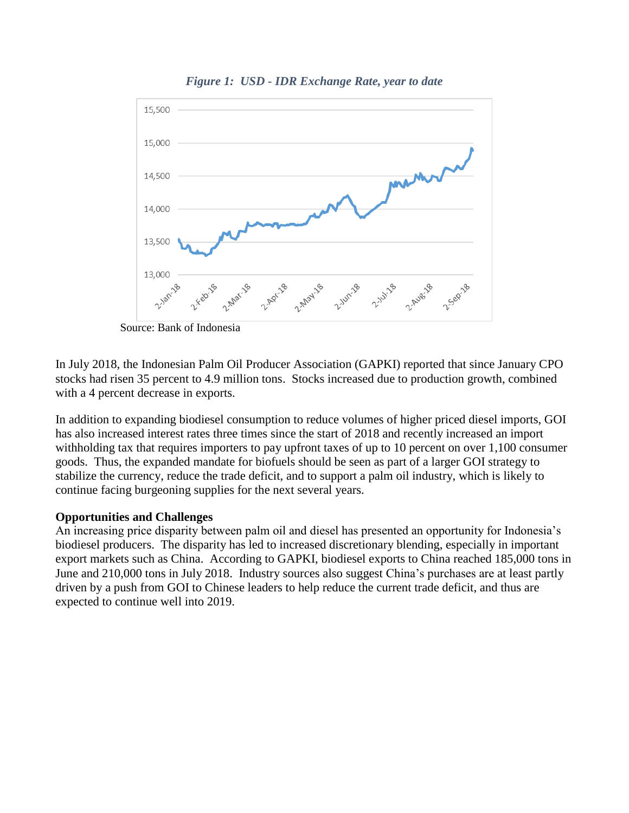

*Figure 1: USD - IDR Exchange Rate, year to date*

Source: Bank of Indonesia

In July 2018, the Indonesian Palm Oil Producer Association (GAPKI) reported that since January CPO stocks had risen 35 percent to 4.9 million tons. Stocks increased due to production growth, combined with a 4 percent decrease in exports.

In addition to expanding biodiesel consumption to reduce volumes of higher priced diesel imports, GOI has also increased interest rates three times since the start of 2018 and recently increased an import withholding tax that requires importers to pay upfront taxes of up to 10 percent on over 1,100 consumer goods. Thus, the expanded mandate for biofuels should be seen as part of a larger GOI strategy to stabilize the currency, reduce the trade deficit, and to support a palm oil industry, which is likely to continue facing burgeoning supplies for the next several years.

## **Opportunities and Challenges**

An increasing price disparity between palm oil and diesel has presented an opportunity for Indonesia's biodiesel producers. The disparity has led to increased discretionary blending, especially in important export markets such as China. According to GAPKI, biodiesel exports to China reached 185,000 tons in June and 210,000 tons in July 2018. Industry sources also suggest China's purchases are at least partly driven by a push from GOI to Chinese leaders to help reduce the current trade deficit, and thus are expected to continue well into 2019.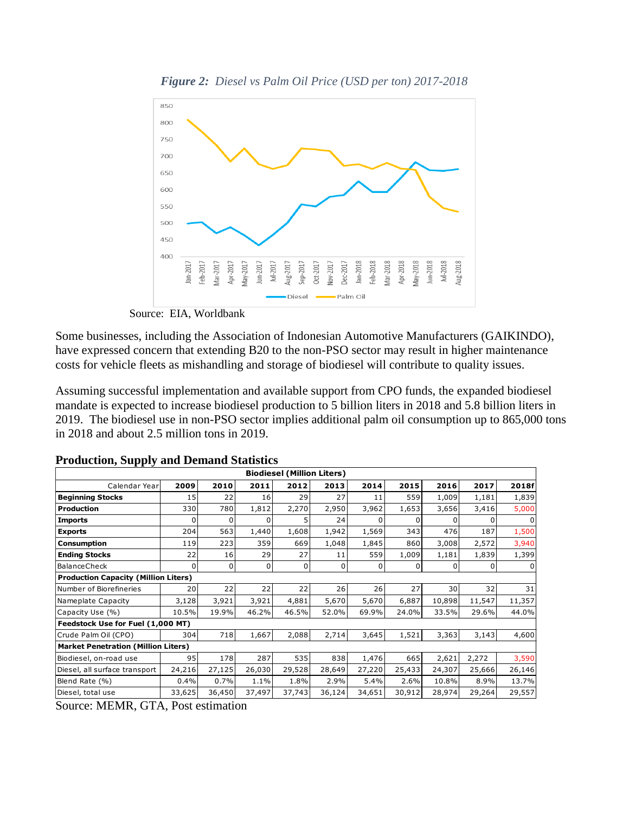

*Figure 2: Diesel vs Palm Oil Price (USD per ton) 2017-2018*

Source: EIA, Worldbank

Some businesses, including the Association of Indonesian Automotive Manufacturers (GAIKINDO), have expressed concern that extending B20 to the non-PSO sector may result in higher maintenance costs for vehicle fleets as mishandling and storage of biodiesel will contribute to quality issues.

Assuming successful implementation and available support from CPO funds, the expanded biodiesel mandate is expected to increase biodiesel production to 5 billion liters in 2018 and 5.8 billion liters in 2019. The biodiesel use in non-PSO sector implies additional palm oil consumption up to 865,000 tons in 2018 and about 2.5 million tons in 2019.

| <b>Biodiesel (Million Liters)</b>           |          |                |        |        |          |          |                |                 |              |              |
|---------------------------------------------|----------|----------------|--------|--------|----------|----------|----------------|-----------------|--------------|--------------|
| Calendar Year                               | 2009     | 2010           | 2011   | 2012   | 2013     | 2014     | 2015           | 2016            | 2017         | 2018f        |
| <b>Beginning Stocks</b>                     | 15       | 22             | 16     | 29     | 27       | 11       | 559            | 1,009           | 1,181        | 1,839        |
| <b>Production</b>                           | 330      | 780            | 1,812  | 2,270  | 2,950    | 3,962    | 1,653          | 3,656           | 3,416        | 5,000        |
| <b>Imports</b>                              | 0        | $\Omega$       | 0      | 5      | 24       | $\Omega$ | $\Omega$       | 0               | <sup>0</sup> | $\Omega$     |
| <b>Exports</b>                              | 204      | 563            | 1,440  | 1,608  | 1,942    | 1,569    | 343            | 476             | 187          | 1,500        |
| <b>Consumption</b>                          | 119      | 223            | 359    | 669    | 1,048    | 1,845    | 860            | 3,008           | 2,572        | 3,940        |
| <b>Ending Stocks</b>                        | 22       | 16             | 29     | 27     | 11       | 559      | 1,009          | 1,181           | 1,839        | 1,399        |
| <b>BalanceCheck</b>                         | $\Omega$ | $\overline{0}$ | 0      | 0      | $\Omega$ | 0        | $\overline{0}$ | 0               | 0            | $\mathbf{0}$ |
| <b>Production Capacity (Million Liters)</b> |          |                |        |        |          |          |                |                 |              |              |
| Number of Biorefineries                     | 20       | 22             | 22     | 22     | 26       | 26       | 27             | 30 <sup>1</sup> | 32           | 31           |
| Nameplate Capacity                          | 3,128    | 3,921          | 3,921  | 4,881  | 5,670    | 5,670    | 6,887          | 10,898          | 11,547       | 11,357       |
| Capacity Use (%)                            | 10.5%    | 19.9%          | 46.2%  | 46.5%  | 52.0%    | 69.9%    | 24.0%          | 33.5%           | 29.6%        | 44.0%        |
| Feedstock Use for Fuel (1,000 MT)           |          |                |        |        |          |          |                |                 |              |              |
| Crude Palm Oil (CPO)                        | 304      | 718            | 1,667  | 2,088  | 2,714    | 3,645    | 1,521          | 3,363           | 3,143        | 4,600        |
| <b>Market Penetration (Million Liters)</b>  |          |                |        |        |          |          |                |                 |              |              |
| Biodiesel, on-road use                      | 95       | 178            | 287    | 535    | 838      | 1,476    | 665            | 2,621           | 2,272        | 3,590        |
| Diesel, all surface transport               | 24,216   | 27,125         | 26,030 | 29,528 | 28,649   | 27,220   | 25,433         | 24,307          | 25,666       | 26,146       |
| Blend Rate (%)                              | 0.4%     | 0.7%           | 1.1%   | 1.8%   | 2.9%     | 5.4%     | 2.6%           | 10.8%           | 8.9%         | 13.7%        |
| Diesel, total use                           | 33,625   | 36,450         | 37,497 | 37,743 | 36,124   | 34,651   | 30,912         | 28,974          | 29,264       | 29,557       |

|  |  | <b>Production, Supply and Demand Statistics</b> |
|--|--|-------------------------------------------------|
|  |  |                                                 |

Source: MEMR, GTA, Post estimation